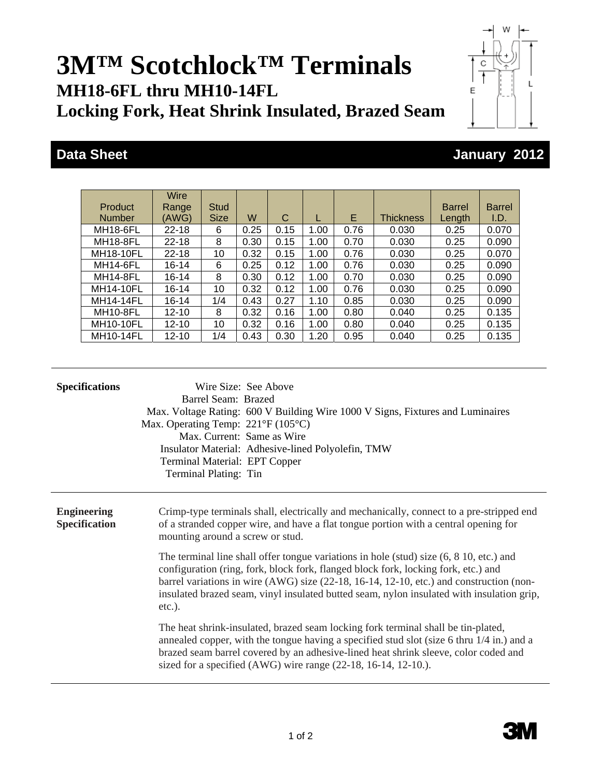## **3M™ Scotchlock™ Terminals MH18-6FL thru MH10-14FL Locking Fork, Heat Shrink Insulated, Brazed Seam**

|   | L |
|---|---|
| E |   |
|   |   |
|   |   |
|   |   |

W

## **Data Sheet January 2012**

| Product          | <b>Wire</b><br>Range | <b>Stud</b> |      |      |      |      |                  | <b>Barrel</b> | <b>Barrel</b> |
|------------------|----------------------|-------------|------|------|------|------|------------------|---------------|---------------|
| <b>Number</b>    | (AWG)                | <b>Size</b> | W    | С    |      | E.   | <b>Thickness</b> | Length        | I.D.          |
| MH18-6FL         | $22 - 18$            | 6           | 0.25 | 0.15 | 1.00 | 0.76 | 0.030            | 0.25          | 0.070         |
| <b>MH18-8FL</b>  | $22 - 18$            | 8           | 0.30 | 0.15 | 1.00 | 0.70 | 0.030            | 0.25          | 0.090         |
| MH18-10FL        | $22 - 18$            | 10          | 0.32 | 0.15 | 1.00 | 0.76 | 0.030            | 0.25          | 0.070         |
| <b>MH14-6FL</b>  | 16-14                | 6           | 0.25 | 0.12 | 1.00 | 0.76 | 0.030            | 0.25          | 0.090         |
| <b>MH14-8FL</b>  | 16-14                | 8           | 0.30 | 0.12 | 1.00 | 0.70 | 0.030            | 0.25          | 0.090         |
| <b>MH14-10FL</b> | $16 - 14$            | 10          | 0.32 | 0.12 | 1.00 | 0.76 | 0.030            | 0.25          | 0.090         |
| <b>MH14-14FL</b> | $16 - 14$            | 1/4         | 0.43 | 0.27 | 1.10 | 0.85 | 0.030            | 0.25          | 0.090         |
| <b>MH10-8FL</b>  | $12 - 10$            | 8           | 0.32 | 0.16 | 1.00 | 0.80 | 0.040            | 0.25          | 0.135         |
| <b>MH10-10FL</b> | $12 - 10$            | 10          | 0.32 | 0.16 | 1.00 | 0.80 | 0.040            | 0.25          | 0.135         |
| <b>MH10-14FL</b> | $12 - 10$            | 1/4         | 0.43 | 0.30 | 1.20 | 0.95 | 0.040            | 0.25          | 0.135         |

| <b>Specifications</b>                      | Wire Size: See Above<br>Barrel Seam: Brazed<br>Max. Voltage Rating: 600 V Building Wire 1000 V Signs, Fixtures and Luminaires<br>Max. Operating Temp: $221^{\circ}F(105^{\circ}C)$<br>Max. Current: Same as Wire<br>Insulator Material: Adhesive-lined Polyolefin, TMW<br>Terminal Material: EPT Copper<br>Terminal Plating: Tin                                                          |
|--------------------------------------------|-------------------------------------------------------------------------------------------------------------------------------------------------------------------------------------------------------------------------------------------------------------------------------------------------------------------------------------------------------------------------------------------|
| <b>Engineering</b><br><b>Specification</b> | Crimp-type terminals shall, electrically and mechanically, connect to a pre-stripped end<br>of a stranded copper wire, and have a flat tongue portion with a central opening for<br>mounting around a screw or stud.                                                                                                                                                                      |
|                                            | The terminal line shall offer tongue variations in hole (stud) size $(6, 8, 10,$ etc.) and<br>configuration (ring, fork, block fork, flanged block fork, locking fork, etc.) and<br>barrel variations in wire $(AWG)$ size $(22-18, 16-14, 12-10, etc.)$ and construction (non-<br>insulated brazed seam, vinyl insulated butted seam, nylon insulated with insulation grip,<br>$etc.$ ). |
|                                            | The heat shrink-insulated, brazed seam locking fork terminal shall be tin-plated,<br>annealed copper, with the tongue having a specified stud slot (size 6 thru $1/4$ in.) and a<br>brazed seam barrel covered by an adhesive-lined heat shrink sleeve, color coded and<br>sized for a specified (AWG) wire range (22-18, 16-14, 12-10.).                                                 |